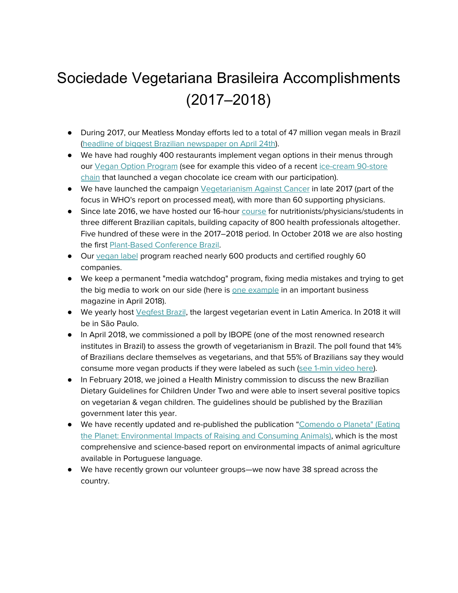## Sociedade Vegetariana Brasileira Accomplishments (2017–2018)

- During 2017, our Meatless Monday efforts led to a total of 47 million vegan meals in Brazil (headline of biggest Brazilian [newspaper](https://www1.folha.uol.com.br/mercado/2018/04/no-pais-do-churrasco-movimento-por-um-dia-sem-carne-e-o-maior-no-mundo.shtml) on April 24th).
- We have had roughly 400 restaurants implement vegan options in their menus through our Vegan Option [Program](http://opcaovegana.svb.org.br/) (see for example this video of a recent [ice-cream](https://www.youtube.com/watch?v=5d3pXq2ryoI) 90-store [chain](https://www.youtube.com/watch?v=5d3pXq2ryoI) that launched a vegan chocolate ice cream with our participation).
- We have launched the campaign [Vegetarianism](http://www.svb.org.br/contraocancer) Against Cancer in late 2017 (part of the focus in WHO's report on processed meat), with more than 60 supporting physicians.
- Since late 2016, we have hosted our 16-hour [course](http://www.cursonutricaovegetariana.com.br/) for nutritionists/physicians/students in three different Brazilian capitals, building capacity of 800 health professionals altogether. Five hundred of these were in the 2017–2018 period. In October 2018 we are also hosting the first [Plant-Based](http://www.plantbasedconference.com.br/) Conference Brazil.
- Our [vegan](http://www.selovegano.com.br/) label program reached nearly 600 products and certified roughly 60 companies.
- We keep a permanent "media watchdog" program, fixing media mistakes and trying to get the big media to work on our side (here is one [example](https://epocanegocios.globo.com/colunas/noticia/2018/04/maior-parte-dos-graos-vira-racao-e-nao-alimento-humano.html) in an important business magazine in April 2018).
- We yearly host [Vegfest](http://vegfest.com.br/) Brazil, the largest vegetarian event in Latin America. In 2018 it will be in São Paulo.
- In April 2018, we commissioned a poll by IBOPE (one of the most renowned research institutes in Brazil) to assess the growth of vegetarianism in Brazil. The poll found that 14% of Brazilians declare themselves as vegetarians, and that 55% of Brazilians say they would consume more vegan products if they were labeled as such (see 1-min [video](https://www.dropbox.com/s/ff51hte52nvlywz/IBOPE%20poll%20%282018%29%20shows%20historical%20growth%20in%20the%20number%20of%20vegetarians%20in%20Brazil.mp4?dl=0) here).
- In February 2018, we joined a Health Ministry commission to discuss the new Brazilian Dietary Guidelines for Children Under Two and were able to insert several positive topics on vegetarian & vegan children. The guidelines should be published by the Brazilian government later this year.
- We have recently updated and re-published the publication ["Comendo](https://www.dropbox.com/s/lh2bdbe7pjke7ui/Comendo%20o%20Planeta%20-%203a%20edicao%20-%202018.pdf?dl=0) o Planeta" (Eating the Planet: [Environmental](https://www.dropbox.com/s/lh2bdbe7pjke7ui/Comendo%20o%20Planeta%20-%203a%20edicao%20-%202018.pdf?dl=0) Impacts of Raising and Consuming Animals), which is the most comprehensive and science-based report on environmental impacts of animal agriculture available in Portuguese language.
- We have recently grown our volunteer groups—we now have 38 spread across the country.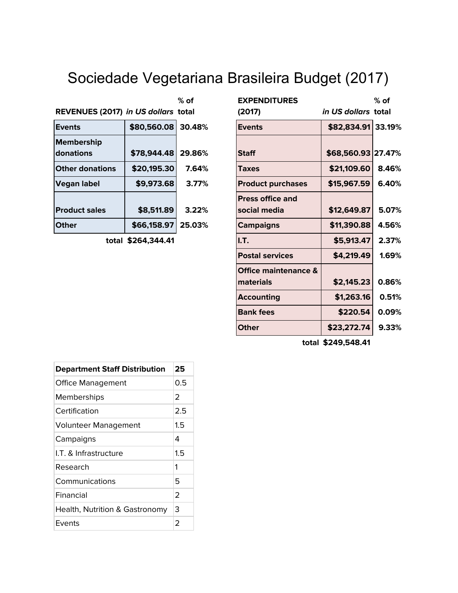# Sociedade Vegetariana Brasileira Budget (2017)

|                                     |             | $%$ of |
|-------------------------------------|-------------|--------|
| REVENUES (2017) in US dollars total |             |        |
| <b>Events</b>                       | \$80,560.08 | 30.48% |
| <b>Membership</b>                   |             |        |
| donations                           | \$78,944.48 | 29.86% |
| <b>Other donations</b>              | \$20,195.30 | 7.64%  |
| Vegan label                         | \$9,973.68  | 3.77%  |
|                                     |             |        |
| <b>Product sales</b>                | \$8,511.89  | 3.22%  |
| <b>Other</b>                        | \$66,158.97 | 25.03% |

| $%$ of                              | <b>EXPENDITURES</b>                     |             | $%$ of                                                          |
|-------------------------------------|-----------------------------------------|-------------|-----------------------------------------------------------------|
| REVENUES (2017) in US dollars total | (2017)                                  |             |                                                                 |
| \$80,560.08<br>30.48%               | <b>Events</b>                           |             |                                                                 |
| \$78,944.48<br>29.86%               | <b>Staff</b>                            |             |                                                                 |
| \$20,195.30<br>7.64%                | Taxes                                   | \$21,109.60 | 8.46%                                                           |
| \$9,973.68<br>3.77%                 | <b>Product purchases</b>                | \$15,967.59 | 6.40%                                                           |
| \$8,511.89<br>3.22%                 | <b>Press office and</b><br>social media | \$12,649.87 | 5.07%                                                           |
| \$66,158.97<br>25.03%               | <b>Campaigns</b>                        | \$11,390.88 | 4.56%                                                           |
| total \$264,344.41                  | I.T.                                    | \$5,913.47  | 2.37%                                                           |
|                                     | <b>Postal services</b>                  | \$4,219.49  | 1.69%                                                           |
|                                     | Office maintenance &<br>materials       | \$2,145.23  | 0.86%                                                           |
|                                     | <b>Accounting</b>                       | \$1,263.16  | 0.51%                                                           |
|                                     | <b>Bank fees</b>                        | \$220.54    | 0.09%                                                           |
|                                     | <b>Other</b>                            | \$23,272.74 | 9.33%                                                           |
|                                     |                                         |             | in US dollars total<br>\$82,834.91 33.19%<br>\$68,560.93 27.47% |

**total \$249,548.41**

| <b>Department Staff Distribution</b> | 25            |
|--------------------------------------|---------------|
| <b>Office Management</b>             | 0.5           |
| Memberships                          | 2             |
| Certification                        | 2.5           |
| <b>Volunteer Management</b>          | 1.5           |
| Campaigns                            | 4             |
| I.T. & Infrastructure                | $1.5\,$       |
| Research                             | 1             |
| Communications                       | 5             |
| Financial                            | $\mathcal{P}$ |
| Health, Nutrition & Gastronomy       | 3             |
| Events                               | 2             |